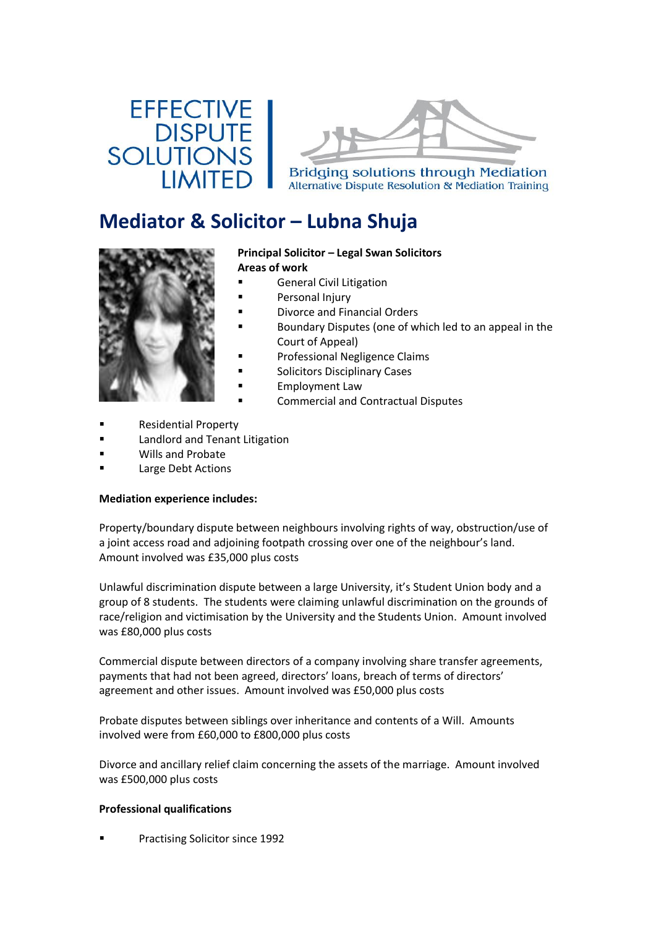# **EFFECTIVE DISPUTE SOLUTIONS IIMITE**



**Bridging solutions through Mediation** Alternative Dispute Resolution & Mediation Training

## **Mediator & Solicitor – Lubna Shuja**



#### **Principal Solicitor – Legal Swan Solicitors Areas of work**

- **General Civil Litigation**
- Personal Injury
- Divorce and Financial Orders
- Boundary Disputes (one of which led to an appeal in the Court of Appeal)
- Professional Negligence Claims
- Solicitors Disciplinary Cases
- Employment Law
- Commercial and Contractual Disputes
- Residential Property
- Landlord and Tenant Litigation
- Wills and Probate
- Large Debt Actions

## **Mediation experience includes:**

Property/boundary dispute between neighbours involving rights of way, obstruction/use of a joint access road and adjoining footpath crossing over one of the neighbour's land. Amount involved was £35,000 plus costs

Unlawful discrimination dispute between a large University, it's Student Union body and a group of 8 students. The students were claiming unlawful discrimination on the grounds of race/religion and victimisation by the University and the Students Union. Amount involved was £80,000 plus costs

Commercial dispute between directors of a company involving share transfer agreements, payments that had not been agreed, directors' loans, breach of terms of directors' agreement and other issues. Amount involved was £50,000 plus costs

Probate disputes between siblings over inheritance and contents of a Will. Amounts involved were from £60,000 to £800,000 plus costs

Divorce and ancillary relief claim concerning the assets of the marriage. Amount involved was £500,000 plus costs

## **Professional qualifications**

Practising Solicitor since 1992